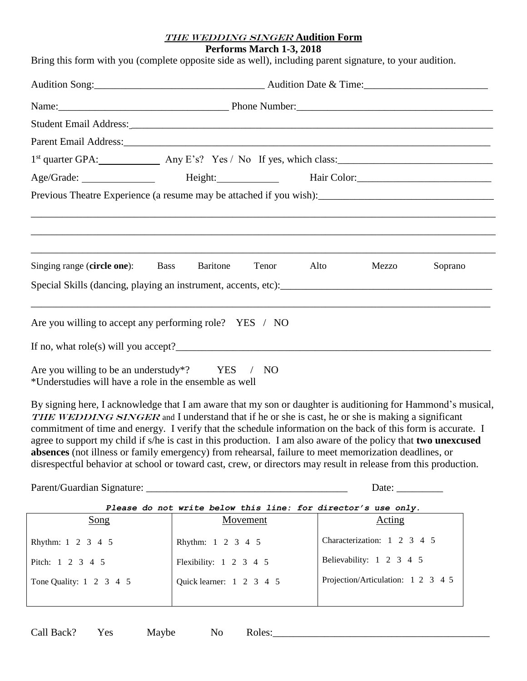## The Wedding Singer **Audition Form Performs March 1-3, 2018**

| Bring this form with you (complete opposite side as well), including parent signature, to your audition.                                                                                                                      |                 |               |       |         |  |
|-------------------------------------------------------------------------------------------------------------------------------------------------------------------------------------------------------------------------------|-----------------|---------------|-------|---------|--|
|                                                                                                                                                                                                                               |                 |               |       |         |  |
|                                                                                                                                                                                                                               |                 |               |       |         |  |
| Student Email Address: Lawrence and American control of the state of the state of the state of the state of the state of the state of the state of the state of the state of the state of the state of the state of the state |                 |               |       |         |  |
|                                                                                                                                                                                                                               |                 |               |       |         |  |
| 1 <sup>st</sup> quarter GPA: Any E's? Yes / No If yes, which class:                                                                                                                                                           |                 |               |       |         |  |
|                                                                                                                                                                                                                               |                 |               |       |         |  |
| Singing range (circle one): Bass                                                                                                                                                                                              | <b>Baritone</b> | Tenor<br>Alto | Mezzo | Soprano |  |
|                                                                                                                                                                                                                               |                 |               |       |         |  |
| Are you willing to accept any performing role? YES / NO                                                                                                                                                                       |                 |               |       |         |  |
|                                                                                                                                                                                                                               |                 |               |       |         |  |
| Are you willing to be an understudy*? YES / NO<br>*Understudies will have a role in the ensemble as well                                                                                                                      |                 |               |       |         |  |

By signing here, I acknowledge that I am aware that my son or daughter is auditioning for Hammond's musical, THE WEDDING SINGER and I understand that if he or she is cast, he or she is making a significant commitment of time and energy. I verify that the schedule information on the back of this form is accurate. I agree to support my child if s/he is cast in this production. I am also aware of the policy that **two unexcused absences** (not illness or family emergency) from rehearsal, failure to meet memorization deadlines, or disrespectful behavior at school or toward cast, crew, or directors may result in release from this production.

Parent/Guardian Signature: \_\_\_\_\_\_\_\_\_\_\_\_\_\_\_\_\_\_\_\_\_\_\_\_\_\_\_\_\_\_\_\_\_\_\_\_\_\_\_ Date: \_\_\_\_\_\_\_\_\_

| Please do not write below this line: for director's use only. |                                  |                                    |  |  |
|---------------------------------------------------------------|----------------------------------|------------------------------------|--|--|
| Song                                                          | Movement                         | Acting                             |  |  |
| Rhythm: 1 2 3 4 5                                             | Rhythm: 1 2 3 4 5                | Characterization: 1 2 3 4 5        |  |  |
| Pitch: 1 2 3 4 5                                              | Flexibility: $1 \t2 \t3 \t4 \t5$ | Believability: 1 2 3 4 5           |  |  |
| Tone Quality: 1 2 3 4 5                                       | Quick learner: 1 2 3 4 5         | Projection/Articulation: 1 2 3 4 5 |  |  |
|                                                               |                                  |                                    |  |  |

Call Back? Yes Maybe No Roles:\_\_\_\_\_\_\_\_\_\_\_\_\_\_\_\_\_\_\_\_\_\_\_\_\_\_\_\_\_\_\_\_\_\_\_\_\_\_\_\_\_\_